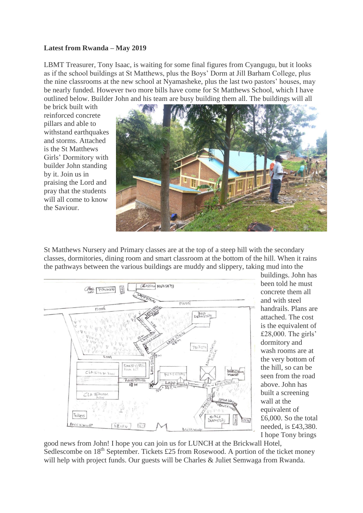## **Latest from Rwanda – May 2019**

LBMT Treasurer, Tony Isaac, is waiting for some final figures from Cyangugu, but it looks as if the school buildings at St Matthews, plus the Boys' Dorm at Jill Barham College, plus the nine classrooms at the new school at Nyamasheke, plus the last two pastors' houses, may be nearly funded. However two more bills have come for St Matthews School, which I have outlined below. Builder John and his team are busy building them all. The buildings will all

be brick built with reinforced concrete pillars and able to withstand earthquakes and storms. Attached is the St Matthews Girls' Dormitory with builder John standing by it. Join us in praising the Lord and pray that the students will all come to know the Saviour.



St Matthews Nursery and Primary classes are at the top of a steep hill with the secondary classes, dormitories, dining room and smart classroom at the bottom of the hill. When it rains the pathways between the various buildings are muddy and slippery, taking mud into the



buildings. John has been told he must concrete them all and with steel handrails. Plans are attached. The cost is the equivalent of £28,000. The girls' dormitory and wash rooms are at the very bottom of the hill, so can be seen from the road above. John has built a screening wall at the equivalent of £6,000. So the total needed, is £43,380. I hope Tony brings

good news from John! I hope you can join us for LUNCH at the Brickwall Hotel, Sedlescombe on  $18<sup>th</sup>$  September. Tickets £25 from Rosewood. A portion of the ticket money will help with project funds. Our guests will be Charles & Juliet Semwaga from Rwanda.